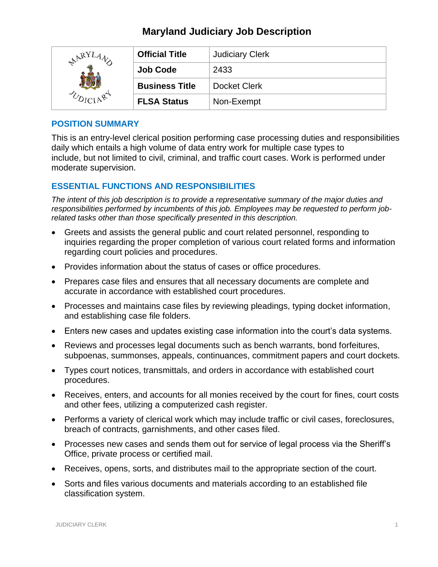# **Maryland Judiciary Job Description**

| $R_{YI}$<br>$\epsilon$ | <b>Official Title</b> | <b>Judiciary Clerk</b> |
|------------------------|-----------------------|------------------------|
|                        | <b>Job Code</b>       | 2433                   |
|                        | <b>Business Title</b> | <b>Docket Clerk</b>    |
|                        | <b>FLSA Status</b>    | Non-Exempt             |

#### **POSITION SUMMARY**

This is an entry-level clerical position performing case processing duties and responsibilities daily which entails a high volume of data entry work for multiple case types to include, but not limited to civil, criminal, and traffic court cases. Work is performed under moderate supervision.

## **ESSENTIAL FUNCTIONS AND RESPONSIBILITIES**

*The intent of this job description is to provide a representative summary of the major duties and responsibilities performed by incumbents of this job. Employees may be requested to perform jobrelated tasks other than those specifically presented in this description.*

- Greets and assists the general public and court related personnel, responding to inquiries regarding the proper completion of various court related forms and information regarding court policies and procedures.
- Provides information about the status of cases or office procedures.
- Prepares case files and ensures that all necessary documents are complete and accurate in accordance with established court procedures.
- Processes and maintains case files by reviewing pleadings, typing docket information, and establishing case file folders.
- Enters new cases and updates existing case information into the court's data systems.
- Reviews and processes legal documents such as bench warrants, bond forfeitures, subpoenas, summonses, appeals, continuances, commitment papers and court dockets.
- Types court notices, transmittals, and orders in accordance with established court procedures.
- Receives, enters, and accounts for all monies received by the court for fines, court costs and other fees, utilizing a computerized cash register.
- Performs a variety of clerical work which may include traffic or civil cases, foreclosures, breach of contracts, garnishments, and other cases filed.
- Processes new cases and sends them out for service of legal process via the Sheriff's Office, private process or certified mail.
- Receives, opens, sorts, and distributes mail to the appropriate section of the court.
- Sorts and files various documents and materials according to an established file classification system.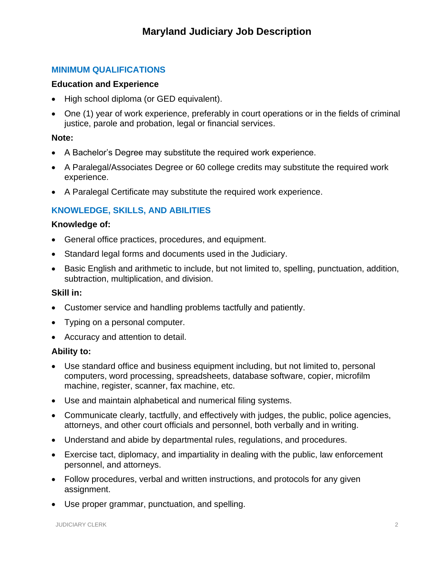## **MINIMUM QUALIFICATIONS**

#### **Education and Experience**

- High school diploma (or GED equivalent).
- One (1) year of work experience, preferably in court operations or in the fields of criminal justice, parole and probation, legal or financial services.

#### **Note:**

- A Bachelor's Degree may substitute the required work experience.
- A Paralegal/Associates Degree or 60 college credits may substitute the required work experience.
- A Paralegal Certificate may substitute the required work experience.

## **KNOWLEDGE, SKILLS, AND ABILITIES**

#### **Knowledge of:**

- General office practices, procedures, and equipment.
- Standard legal forms and documents used in the Judiciary.
- Basic English and arithmetic to include, but not limited to, spelling, punctuation, addition, subtraction, multiplication, and division.

#### **Skill in:**

- Customer service and handling problems tactfully and patiently.
- Typing on a personal computer.
- Accuracy and attention to detail.

#### **Ability to:**

- Use standard office and business equipment including, but not limited to, personal computers, word processing, spreadsheets, database software, copier, microfilm machine, register, scanner, fax machine, etc.
- Use and maintain alphabetical and numerical filing systems.
- Communicate clearly, tactfully, and effectively with judges, the public, police agencies, attorneys, and other court officials and personnel, both verbally and in writing.
- Understand and abide by departmental rules, regulations, and procedures.
- Exercise tact, diplomacy, and impartiality in dealing with the public, law enforcement personnel, and attorneys.
- Follow procedures, verbal and written instructions, and protocols for any given assignment.
- Use proper grammar, punctuation, and spelling.